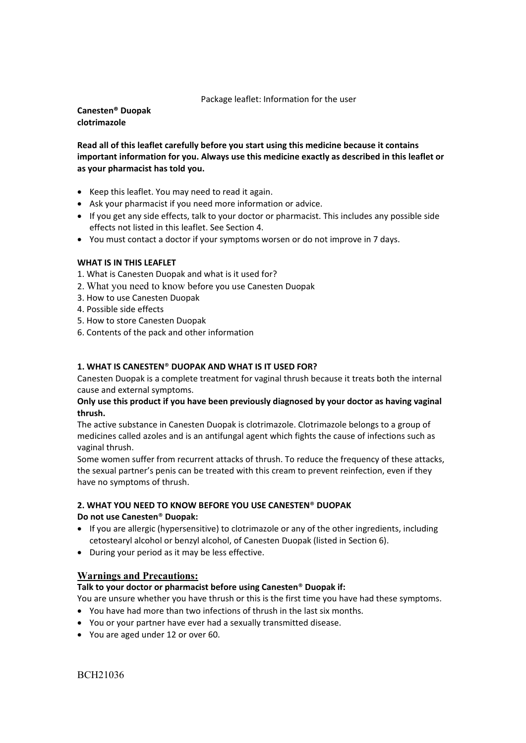Package leaflet: Information for the user

**Canesten® Duopak clotrimazole** 

**Read all of this leaflet carefully before you start using this medicine because it contains important information for you. Always use this medicine exactly as described in this leaflet or as your pharmacist has told you.** 

- Keep this leaflet. You may need to read it again.
- Ask your pharmacist if you need more information or advice.
- If you get any side effects, talk to your doctor or pharmacist. This includes any possible side effects not listed in this leaflet. See Section 4.
- You must contact a doctor if your symptoms worsen or do not improve in 7 days.

# **WHAT IS IN THIS LEAFLET**

1. What is Canesten Duopak and what is it used for?

- 2. What you need to know before you use Canesten Duopak
- 3. How to use Canesten Duopak
- 4. Possible side effects
- 5. How to store Canesten Duopak
- 6. Contents of the pack and other information

# **1. WHAT IS CANESTEN**® **DUOPAK AND WHAT IS IT USED FOR?**

Canesten Duopak is a complete treatment for vaginal thrush because it treats both the internal cause and external symptoms.

# **Only use this product if you have been previously diagnosed by your doctor as having vaginal thrush.**

The active substance in Canesten Duopak is clotrimazole. Clotrimazole belongs to a group of medicines called azoles and is an antifungal agent which fights the cause of infections such as vaginal thrush.

Some women suffer from recurrent attacks of thrush. To reduce the frequency of these attacks, the sexual partner's penis can be treated with this cream to prevent reinfection, even if they have no symptoms of thrush.

# **2. WHAT YOU NEED TO KNOW BEFORE YOU USE CANESTEN**® **DUOPAK**

**Do not use Canesten**® **Duopak:** 

- If you are allergic (hypersensitive) to clotrimazole or any of the other ingredients, including cetostearyl alcohol or benzyl alcohol, of Canesten Duopak (listed in Section 6).
- During your period as it may be less effective.

# **Warnings and Precautions:**

# **Talk to your doctor or pharmacist before using Canesten**® **Duopak if:**

You are unsure whether you have thrush or this is the first time you have had these symptoms.

- You have had more than two infections of thrush in the last six months.
- You or your partner have ever had a sexually transmitted disease.
- You are aged under 12 or over 60.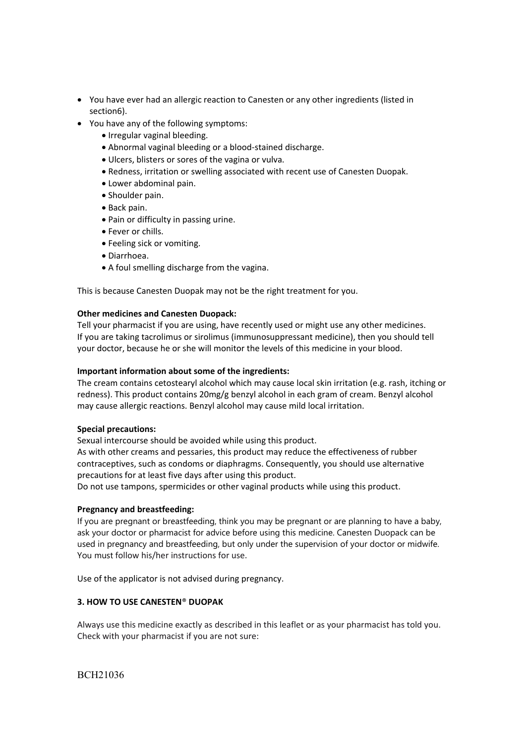- You have ever had an allergic reaction to Canesten or any other ingredients (listed in section6).
- You have any of the following symptoms:
	- Irregular vaginal bleeding.
	- Abnormal vaginal bleeding or a blood‐stained discharge.
	- Ulcers, blisters or sores of the vagina or vulva.
	- Redness, irritation or swelling associated with recent use of Canesten Duopak.
	- Lower abdominal pain.
	- Shoulder pain.
	- Back pain.
	- Pain or difficulty in passing urine.
	- Fever or chills.
	- Feeling sick or vomiting.
	- Diarrhoea.
	- A foul smelling discharge from the vagina.

This is because Canesten Duopak may not be the right treatment for you.

# **Other medicines and Canesten Duopack:**

Tell your pharmacist if you are using, have recently used or might use any other medicines. If you are taking tacrolimus or sirolimus (immunosuppressant medicine), then you should tell your doctor, because he or she will monitor the levels of this medicine in your blood.

# **Important information about some of the ingredients:**

The cream contains cetostearyl alcohol which may cause local skin irritation (e.g. rash, itching or redness). This product contains 20mg/g benzyl alcohol in each gram of cream. Benzyl alcohol may cause allergic reactions. Benzyl alcohol may cause mild local irritation.

# **Special precautions:**

Sexual intercourse should be avoided while using this product.

As with other creams and pessaries, this product may reduce the effectiveness of rubber contraceptives, such as condoms or diaphragms. Consequently, you should use alternative precautions for at least five days after using this product.

Do not use tampons, spermicides or other vaginal products while using this product.

# **Pregnancy and breastfeeding:**

If you are pregnant or breastfeeding, think you may be pregnant or are planning to have a baby, ask your doctor or pharmacist for advice before using this medicine. Canesten Duopack can be used in pregnancy and breastfeeding, but only under the supervision of your doctor or midwife. You must follow his/her instructions for use.

Use of the applicator is not advised during pregnancy.

# **3. HOW TO USE CANESTEN**® **DUOPAK**

Always use this medicine exactly as described in this leaflet or as your pharmacist has told you. Check with your pharmacist if you are not sure: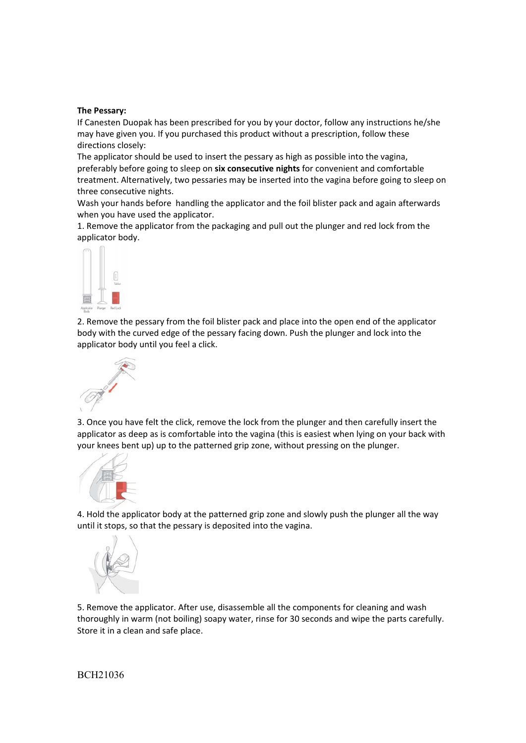### **The Pessary:**

If Canesten Duopak has been prescribed for you by your doctor, follow any instructions he/she may have given you. If you purchased this product without a prescription, follow these directions closely:

The applicator should be used to insert the pessary as high as possible into the vagina, preferably before going to sleep on **six consecutive nights** for convenient and comfortable treatment. Alternatively, two pessaries may be inserted into the vagina before going to sleep on three consecutive nights.

Wash your hands before handling the applicator and the foil blister pack and again afterwards when you have used the applicator.

1. Remove the applicator from the packaging and pull out the plunger and red lock from the applicator body.



2. Remove the pessary from the foil blister pack and place into the open end of the applicator body with the curved edge of the pessary facing down. Push the plunger and lock into the applicator body until you feel a click.



3. Once you have felt the click, remove the lock from the plunger and then carefully insert the applicator as deep as is comfortable into the vagina (this is easiest when lying on your back with your knees bent up) up to the patterned grip zone, without pressing on the plunger.



4. Hold the applicator body at the patterned grip zone and slowly push the plunger all the way until it stops, so that the pessary is deposited into the vagina.



5. Remove the applicator. After use, disassemble all the components for cleaning and wash thoroughly in warm (not boiling) soapy water, rinse for 30 seconds and wipe the parts carefully. Store it in a clean and safe place.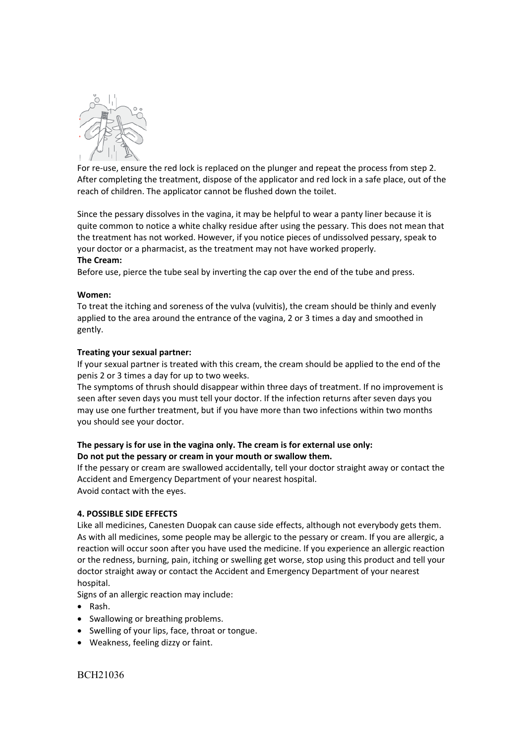

For re-use, ensure the red lock is replaced on the plunger and repeat the process from step 2. After completing the treatment, dispose of the applicator and red lock in a safe place, out of the reach of children. The applicator cannot be flushed down the toilet.

Since the pessary dissolves in the vagina, it may be helpful to wear a panty liner because it is quite common to notice a white chalky residue after using the pessary. This does not mean that the treatment has not worked. However, if you notice pieces of undissolved pessary, speak to your doctor or a pharmacist, as the treatment may not have worked properly.

#### **The Cream:**

Before use, pierce the tube seal by inverting the cap over the end of the tube and press.

### **Women:**

To treat the itching and soreness of the vulva (vulvitis), the cream should be thinly and evenly applied to the area around the entrance of the vagina, 2 or 3 times a day and smoothed in gently.

### **Treating your sexual partner:**

If your sexual partner is treated with this cream, the cream should be applied to the end of the penis 2 or 3 times a day for up to two weeks.

The symptoms of thrush should disappear within three days of treatment. If no improvement is seen after seven days you must tell your doctor. If the infection returns after seven days you may use one further treatment, but if you have more than two infections within two months you should see your doctor.

# **The pessary is for use in the vagina only. The cream is for external use only: Do not put the pessary or cream in your mouth or swallow them.**

If the pessary or cream are swallowed accidentally, tell your doctor straight away or contact the Accident and Emergency Department of your nearest hospital. Avoid contact with the eyes.

#### **4. POSSIBLE SIDE EFFECTS**

Like all medicines, Canesten Duopak can cause side effects, although not everybody gets them. As with all medicines, some people may be allergic to the pessary or cream. If you are allergic, a reaction will occur soon after you have used the medicine. If you experience an allergic reaction or the redness, burning, pain, itching or swelling get worse, stop using this product and tell your doctor straight away or contact the Accident and Emergency Department of your nearest hospital.

Signs of an allergic reaction may include:

- Rash.
- Swallowing or breathing problems.
- Swelling of your lips, face, throat or tongue.
- Weakness, feeling dizzy or faint.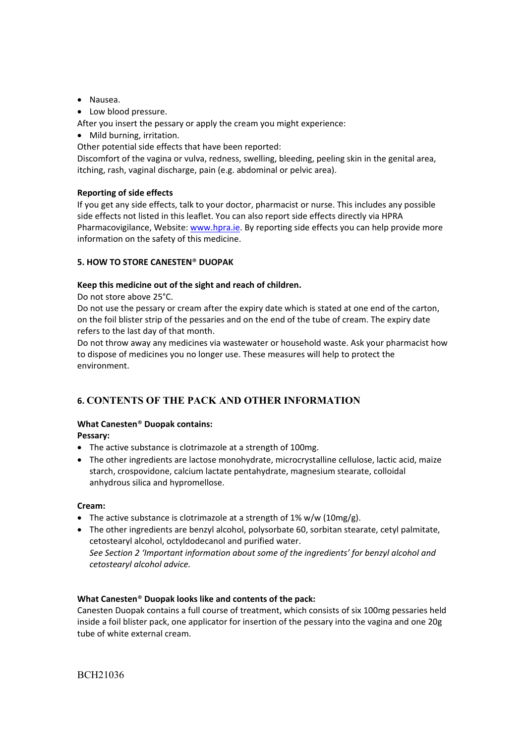- Nausea.
- Low blood pressure.

After you insert the pessary or apply the cream you might experience:

• Mild burning, irritation.

Other potential side effects that have been reported:

Discomfort of the vagina or vulva, redness, swelling, bleeding, peeling skin in the genital area, itching, rash, vaginal discharge, pain (e.g. abdominal or pelvic area).

# **Reporting of side effects**

If you get any side effects, talk to your doctor, pharmacist or nurse. This includes any possible side effects not listed in this leaflet. You can also report side effects directly via HPRA Pharmacovigilance, Website: www.hpra.ie. By reporting side effects you can help provide more information on the safety of this medicine.

# **5. HOW TO STORE CANESTEN**® **DUOPAK**

# **Keep this medicine out of the sight and reach of children.**

Do not store above 25°C.

Do not use the pessary or cream after the expiry date which is stated at one end of the carton, on the foil blister strip of the pessaries and on the end of the tube of cream. The expiry date refers to the last day of that month.

Do not throw away any medicines via wastewater or household waste. Ask your pharmacist how to dispose of medicines you no longer use. These measures will help to protect the environment.

# **6. CONTENTS OF THE PACK AND OTHER INFORMATION**

# **What Canesten**® **Duopak contains:**

**Pessary:** 

- The active substance is clotrimazole at a strength of 100mg.
- The other ingredients are lactose monohydrate, microcrystalline cellulose, lactic acid, maize starch, crospovidone, calcium lactate pentahydrate, magnesium stearate, colloidal anhydrous silica and hypromellose.

# **Cream:**

- The active substance is clotrimazole at a strength of  $1\%$  w/w ( $10$ mg/g).
- The other ingredients are benzyl alcohol, polysorbate 60, sorbitan stearate, cetyl palmitate, cetostearyl alcohol, octyldodecanol and purified water. *See Section 2 'Important information about some of the ingredients' for benzyl alcohol and cetostearyl alcohol advice.*

# **What Canesten**® **Duopak looks like and contents of the pack:**

Canesten Duopak contains a full course of treatment, which consists of six 100mg pessaries held inside a foil blister pack, one applicator for insertion of the pessary into the vagina and one 20g tube of white external cream.